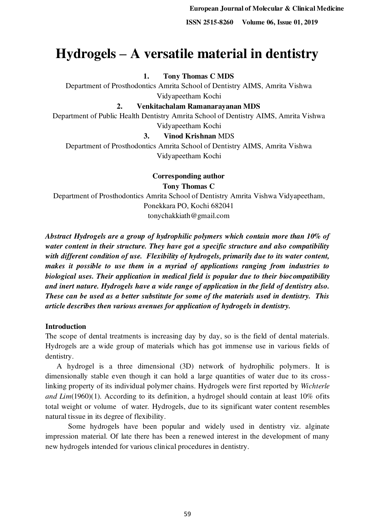# **Hydrogels – A versatile material in dentistry**

## **1. Tony Thomas C MDS**

Department of Prosthodontics Amrita School of Dentistry AIMS, Amrita Vishwa Vidyapeetham Kochi

**2. Venkitachalam Ramanarayanan MDS** 

Department of Public Health Dentistry Amrita School of Dentistry AIMS, Amrita Vishwa Vidyapeetham Kochi

#### **3. Vinod Krishnan** MDS

Department of Prosthodontics Amrita School of Dentistry AIMS, Amrita Vishwa Vidyapeetham Kochi

**Corresponding author** 

**Tony Thomas C** 

Department of Prosthodontics Amrita School of Dentistry Amrita Vishwa Vidyapeetham, Ponekkara PO, Kochi 682041 tonychakkiath@gmail.com

*Abstract Hydrogels are a group of hydrophilic polymers which contain more than 10% of water content in their structure. They have got a specific structure and also compatibility with different condition of use. Flexibility of hydrogels, primarily due to its water content, makes it possible to use them in a myriad of applications ranging from industries to biological uses. Their application in medical field is popular due to their biocompatibility and inert nature. Hydrogels have a wide range of application in the field of dentistry also. These can be used as a better substitute for some of the materials used in dentistry. This article describes then various avenues for application of hydrogels in dentistry.* 

#### **Introduction**

The scope of dental treatments is increasing day by day, so is the field of dental materials. Hydrogels are a wide group of materials which has got immense use in various fields of dentistry.

 A hydrogel is a three dimensional (3D) network of hydrophilic polymers. It is dimensionally stable even though it can hold a large quantities of water due to its crosslinking property of its individual polymer chains. Hydrogels were first reported by *Wichterle and Lim*(1960)(1). According to its definition, a hydrogel should contain at least 10% ofits total weight or volume of water*.* Hydrogels, due to its significant water content resembles natural tissue in its degree of flexibility.

Some hydrogels have been popular and widely used in dentistry viz. alginate impression material. Of late there has been a renewed interest in the development of many new hydrogels intended for various clinical procedures in dentistry.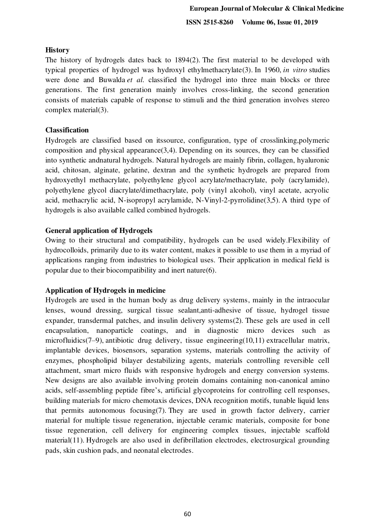# **History**

The history of hydrogels dates back to 1894(2). The first material to be developed with typical properties of hydrogel was hydroxyl ethylmethacrylate(3). In 1960, *in vitro* studies were done and Buwalda *et al*. classified the hydrogel into three main blocks or three generations. The first generation mainly involves cross-linking, the second generation consists of materials capable of response to stimuli and the third generation involves stereo complex material(3).

# **Classification**

Hydrogels are classified based on itssource, configuration, type of crosslinking,polymeric composition and physical appearance(3,4). Depending on its sources, they can be classified into synthetic andnatural hydrogels. Natural hydrogels are mainly fibrin, collagen, hyaluronic acid, chitosan, alginate, gelatine, dextran and the synthetic hydrogels are prepared from hydroxyethyl methacrylate, polyethylene glycol acrylate/methacrylate, poly (acrylamide), polyethylene glycol diacrylate/dimethacrylate, poly (vinyl alcohol), vinyl acetate, acryolic acid, methacrylic acid, N-isopropyl acrylamide, N-Vinyl-2-pyrrolidine(3,5). A third type of hydrogels is also available called combined hydrogels.

# **General application of Hydrogels**

Owing to their structural and compatibility, hydrogels can be used widely.Flexibility of hydrocolloids, primarily due to its water content, makes it possible to use them in a myriad of applications ranging from industries to biological uses. Their application in medical field is popular due to their biocompatibility and inert nature(6).

# **Application of Hydrogels in medicine**

Hydrogels are used in the human body as drug delivery systems, mainly in the intraocular lenses, wound dressing, surgical tissue sealant,anti-adhesive of tissue, hydrogel tissue expander, transdermal patches, and insulin delivery systems(2). These gels are used in cell encapsulation, nanoparticle coatings, and in diagnostic micro devices such as microfluidics(7–9), antibiotic drug delivery, tissue engineering(10,11) extracellular matrix, implantable devices, biosensors, separation systems, materials controlling the activity of enzymes, phospholipid bilayer destabilizing agents, materials controlling reversible cell attachment, smart micro fluids with responsive hydrogels and energy conversion systems. New designs are also available involving protein domains containing non-canonical amino acids, self-assembling peptide fibre's, artificial glycoproteins for controlling cell responses, building materials for micro chemotaxis devices, DNA recognition motifs, tunable liquid lens that permits autonomous focusing(7). They are used in growth factor delivery, carrier material for multiple tissue regeneration, injectable ceramic materials, composite for bone tissue regeneration, cell delivery for engineering complex tissues, injectable scaffold material(11). Hydrogels are also used in defibrillation electrodes, electrosurgical grounding pads, skin cushion pads, and neonatal electrodes.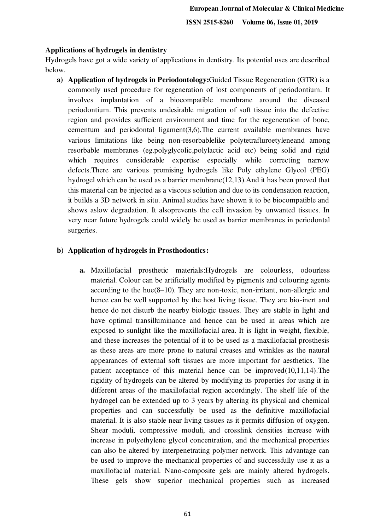#### **Applications of hydrogels in dentistry**

Hydrogels have got a wide variety of applications in dentistry. Its potential uses are described below.

**a) Application of hydrogels in Periodontology:**Guided Tissue Regeneration (GTR) is a commonly used procedure for regeneration of lost components of periodontium. It involves implantation of a biocompatible membrane around the diseased periodontium. This prevents undesirable migration of soft tissue into the defective region and provides sufficient environment and time for the regeneration of bone, cementum and periodontal ligament(3,6).The current available membranes have various limitations like being non-resorbablelike polytetrafluroetyleneand among resorbable membranes (eg.polyglycolic,polylactic acid etc) being solid and rigid which requires considerable expertise especially while correcting narrow defects.There are various promising hydrogels like Poly ethylene Glycol (PEG) hydrogel which can be used as a barrier membrane(12,13).And it has been proved that this material can be injected as a viscous solution and due to its condensation reaction, it builds a 3D network in situ. Animal studies have shown it to be biocompatible and shows aslow degradation. It alsoprevents the cell invasion by unwanted tissues. In very near future hydrogels could widely be used as barrier membranes in periodontal surgeries.

## **b) Application of hydrogels in Prosthodontics:**

**a.** Maxillofacial prosthetic materials:Hydrogels are colourless, odourless material. Colour can be artificially modified by pigments and colouring agents according to the hue(8–10). They are non-toxic, non-irritant, non-allergic and hence can be well supported by the host living tissue. They are bio-inert and hence do not disturb the nearby biologic tissues. They are stable in light and have optimal transilluminance and hence can be used in areas which are exposed to sunlight like the maxillofacial area. It is light in weight, flexible, and these increases the potential of it to be used as a maxillofacial prosthesis as these areas are more prone to natural creases and wrinkles as the natural appearances of external soft tissues are more important for aesthetics. The patient acceptance of this material hence can be improved(10,11,14).The rigidity of hydrogels can be altered by modifying its properties for using it in different areas of the maxillofacial region accordingly. The shelf life of the hydrogel can be extended up to 3 years by altering its physical and chemical properties and can successfully be used as the definitive maxillofacial material. It is also stable near living tissues as it permits diffusion of oxygen. Shear moduli, compressive moduli, and crosslink densities increase with increase in polyethylene glycol concentration, and the mechanical properties can also be altered by interpenetrating polymer network. This advantage can be used to improve the mechanical properties of and successfully use it as a maxillofacial material. Nano-composite gels are mainly altered hydrogels. These gels show superior mechanical properties such as increased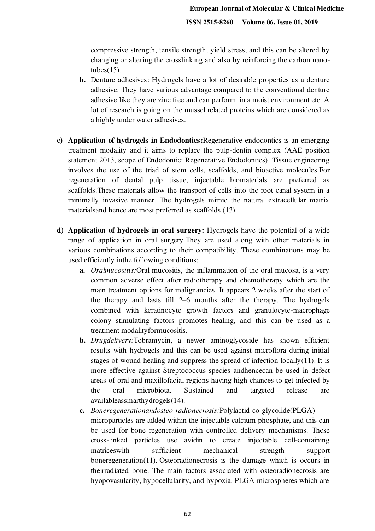compressive strength, tensile strength, yield stress, and this can be altered by changing or altering the crosslinking and also by reinforcing the carbon nanotubes $(15)$ .

- **b.** Denture adhesives: Hydrogels have a lot of desirable properties as a denture adhesive. They have various advantage compared to the conventional denture adhesive like they are zinc free and can perform in a moist environment etc. A lot of research is going on the mussel related proteins which are considered as a highly under water adhesives.
- **c) Application of hydrogels in Endodontics:**Regenerative endodontics is an emerging treatment modality and it aims to replace the pulp-dentin complex (AAE position statement 2013, scope of Endodontic: Regenerative Endodontics). Tissue engineering involves the use of the triad of stem cells, scaffolds, and bioactive molecules.For regeneration of dental pulp tissue, injectable biomaterials are preferred as scaffolds.These materials allow the transport of cells into the root canal system in a minimally invasive manner. The hydrogels mimic the natural extracellular matrix materialsand hence are most preferred as scaffolds (13).
- **d) Application of hydrogels in oral surgery:** Hydrogels have the potential of a wide range of application in oral surgery.They are used along with other materials in various combinations according to their compatibility. These combinations may be used efficiently inthe following conditions:
	- **a.** *Oralmucositis:*Oral mucositis, the inflammation of the oral mucosa, is a very common adverse effect after radiotherapy and chemotherapy which are the main treatment options for malignancies. It appears 2 weeks after the start of the therapy and lasts till 2–6 months after the therapy. The hydrogels combined with keratinocyte growth factors and granulocyte-macrophage colony stimulating factors promotes healing, and this can be used as a treatment modalityformucositis.
	- **b.** *Drugdelivery:*Tobramycin, a newer aminoglycoside has shown efficient results with hydrogels and this can be used against microflora during initial stages of wound healing and suppress the spread of infection  $locally(11)$ . It is more effective against Streptococcus species andhencecan be used in defect areas of oral and maxillofacial regions having high chances to get infected by the oral microbiota. Sustained and targeted release are availableassmarthydrogels(14).
	- **c.** *Boneregenerationandosteo-radionecrosis:*Polylactid-co-glycolide(PLGA) microparticles are added within the injectable calcium phosphate, and this can be used for bone regeneration with controlled delivery mechanisms. These cross-linked particles use avidin to create injectable cell-containing matriceswith sufficient mechanical strength support boneregeneration(11). Osteoradionecrosis is the damage which is occurs in theirradiated bone. The main factors associated with osteoradionecrosis are hyopovasularity, hypocellularity, and hypoxia. PLGA microspheres which are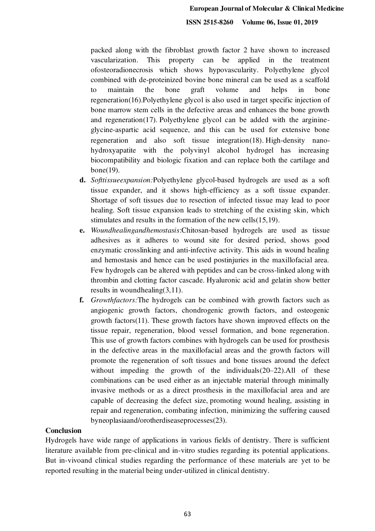packed along with the fibroblast growth factor 2 have shown to increased vascularization. This property can be applied in the treatment ofosteoradionecrosis which shows hypovascularity. Polyethylene glycol combined with de-proteinized bovine bone mineral can be used as a scaffold to maintain the bone graft volume and helps in bone regeneration(16).Polyethylene glycol is also used in target specific injection of bone marrow stem cells in the defective areas and enhances the bone growth and regeneration(17). Polyethylene glycol can be added with the arginineglycine-aspartic acid sequence, and this can be used for extensive bone regeneration and also soft tissue integration(18). High-density nanohydroxyapatite with the polyvinyl alcohol hydrogel has increasing biocompatibility and biologic fixation and can replace both the cartilage and bone(19).

- **d.** *Softtissueexpansion:*Polyethylene glycol-based hydrogels are used as a soft tissue expander, and it shows high-efficiency as a soft tissue expander. Shortage of soft tissues due to resection of infected tissue may lead to poor healing. Soft tissue expansion leads to stretching of the existing skin, which stimulates and results in the formation of the new cells(15,19).
- **e.** *Woundhealingandhemostasis*:Chitosan-based hydrogels are used as tissue adhesives as it adheres to wound site for desired period, shows good enzymatic crosslinking and anti-infective activity. This aids in wound healing and hemostasis and hence can be used postinjuries in the maxillofacial area. Few hydrogels can be altered with peptides and can be cross-linked along with thrombin and clotting factor cascade. Hyaluronic acid and gelatin show better results in woundhealing(3,11).
- **f.** *Growthfactors:*The hydrogels can be combined with growth factors such as angiogenic growth factors, chondrogenic growth factors, and osteogenic growth factors(11). These growth factors have shown improved effects on the tissue repair, regeneration, blood vessel formation, and bone regeneration. This use of growth factors combines with hydrogels can be used for prosthesis in the defective areas in the maxillofacial areas and the growth factors will promote the regeneration of soft tissues and bone tissues around the defect without impeding the growth of the individuals (20–22). All of these combinations can be used either as an injectable material through minimally invasive methods or as a direct prosthesis in the maxillofacial area and are capable of decreasing the defect size, promoting wound healing, assisting in repair and regeneration, combating infection, minimizing the suffering caused byneoplasiaand/orotherdiseaseprocesses(23).

#### **Conclusion**

Hydrogels have wide range of applications in various fields of dentistry. There is sufficient literature available from pre-clinical and in-vitro studies regarding its potential applications. But in-vivoand clinical studies regarding the performance of these materials are yet to be reported resulting in the material being under-utilized in clinical dentistry.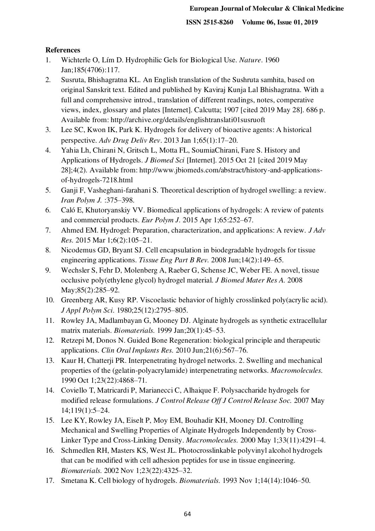## **References**

- 1. Wichterle O, Lím D. Hydrophilic Gels for Biological Use. *Nature*. 1960 Jan;185(4706):117.
- 2. Susruta, Bhishagratna KL. An English translation of the Sushruta samhita, based on original Sanskrit text. Edited and published by Kaviraj Kunja Lal Bhishagratna. With a full and comprehensive introd., translation of different readings, notes, comperative views, index, glossary and plates [Internet]. Calcutta; 1907 [cited 2019 May 28]. 686 p. Available from: http://archive.org/details/englishtranslati01susruoft
- 3. Lee SC, Kwon IK, Park K. Hydrogels for delivery of bioactive agents: A historical perspective. *Adv Drug Deliv Rev*. 2013 Jan 1;65(1):17–20.
- 4. Yahia Lh, Chirani N, Gritsch L, Motta FL, SoumiaChirani, Fare S. History and Applications of Hydrogels. *J Biomed Sci* [Internet]. 2015 Oct 21 [cited 2019 May 28];4(2). Available from: http://www.jbiomeds.com/abstract/history-and-applicationsof-hydrogels-7218.html
- 5. Ganji F, Vasheghani-farahani S. Theoretical description of hydrogel swelling: a review. *Iran Polym J.* :375–398.
- 6. Caló E, Khutoryanskiy VV. Biomedical applications of hydrogels: A review of patents and commercial products. *Eur Polym J.* 2015 Apr 1;65:252–67.
- 7. Ahmed EM. Hydrogel: Preparation, characterization, and applications: A review. *J Adv Res.* 2015 Mar 1;6(2):105–21.
- 8. Nicodemus GD, Bryant SJ. Cell encapsulation in biodegradable hydrogels for tissue engineering applications. *Tissue Eng Part B Rev.* 2008 Jun;14(2):149–65.
- 9. Wechsler S, Fehr D, Molenberg A, Raeber G, Schense JC, Weber FE. A novel, tissue occlusive poly(ethylene glycol) hydrogel material. *J Biomed Mater Res A.* 2008 May; 85(2): 285–92.
- 10. Greenberg AR, Kusy RP. Viscoelastic behavior of highly crosslinked poly(acrylic acid). *J Appl Polym Sci.* 1980;25(12):2795–805.
- 11. Rowley JA, Madlambayan G, Mooney DJ. Alginate hydrogels as synthetic extracellular matrix materials. *Biomaterials.* 1999 Jan;20(1):45–53.
- 12. Retzepi M, Donos N. Guided Bone Regeneration: biological principle and therapeutic applications. *Clin Oral Implants Res.* 2010 Jun;21(6):567–76.
- 13. Kaur H, Chatterji PR. Interpenetrating hydrogel networks. 2. Swelling and mechanical properties of the (gelatin-polyacrylamide) interpenetrating networks. *Macromolecules.* 1990 Oct 1;23(22):4868–71.
- 14. Coviello T, Matricardi P, Marianecci C, Alhaique F. Polysaccharide hydrogels for modified release formulations. *J Control Release Off J Control Release Soc.* 2007 May 14;119(1):5–24.
- 15. Lee KY, Rowley JA, Eiselt P, Moy EM, Bouhadir KH, Mooney DJ. Controlling Mechanical and Swelling Properties of Alginate Hydrogels Independently by Cross-Linker Type and Cross-Linking Density. *Macromolecules.* 2000 May 1;33(11):4291–4.
- 16. Schmedlen RH, Masters KS, West JL. Photocrosslinkable polyvinyl alcohol hydrogels that can be modified with cell adhesion peptides for use in tissue engineering. *Biomaterials.* 2002 Nov 1;23(22):4325–32.
- 17. Smetana K. Cell biology of hydrogels. *Biomaterials.* 1993 Nov 1;14(14):1046–50.